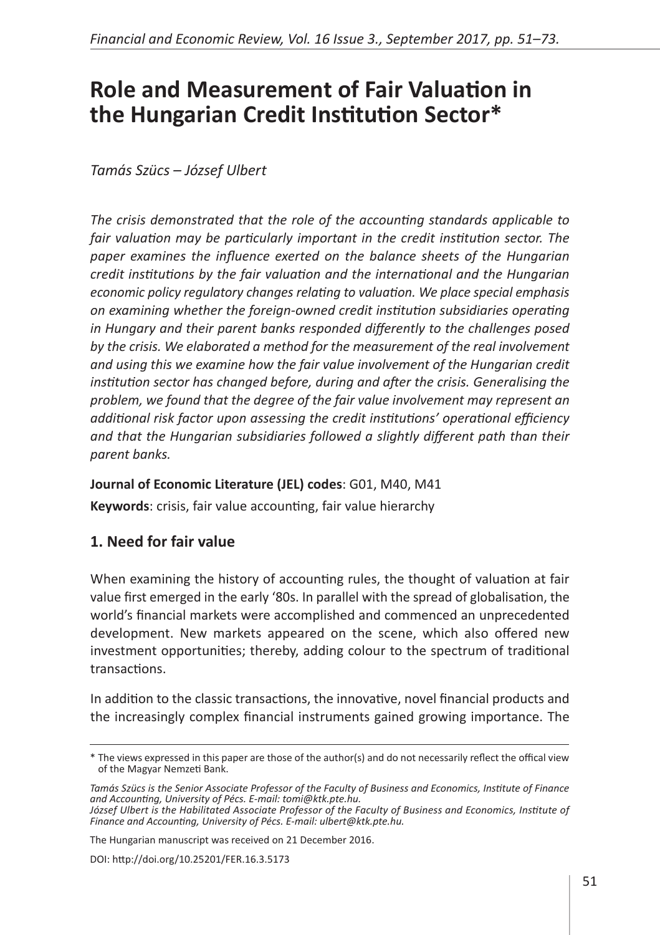# **Role and Measurement of Fair Valuation in the Hungarian Credit Institution Sector\***

*Tamás Szücs – József Ulbert*

*The crisis demonstrated that the role of the accounting standards applicable to fair valuation may be particularly important in the credit institution sector. The paper examines the influence exerted on the balance sheets of the Hungarian credit institutions by the fair valuation and the international and the Hungarian economic policy regulatory changes relating to valuation. We place special emphasis on examining whether the foreign-owned credit institution subsidiaries operating in Hungary and their parent banks responded differently to the challenges posed by the crisis. We elaborated a method for the measurement of the real involvement and using this we examine how the fair value involvement of the Hungarian credit institution sector has changed before, during and after the crisis. Generalising the problem, we found that the degree of the fair value involvement may represent an additional risk factor upon assessing the credit institutions' operational efficiency and that the Hungarian subsidiaries followed a slightly different path than their parent banks.*

#### **Journal of Economic Literature (JEL) codes**: G01, M40, M41

**Keywords**: crisis, fair value accounting, fair value hierarchy

# **1. Need for fair value**

When examining the history of accounting rules, the thought of valuation at fair value first emerged in the early '80s. In parallel with the spread of globalisation, the world's financial markets were accomplished and commenced an unprecedented development. New markets appeared on the scene, which also offered new investment opportunities; thereby, adding colour to the spectrum of traditional transactions.

In addition to the classic transactions, the innovative, novel financial products and the increasingly complex financial instruments gained growing importance. The

The Hungarian manuscript was received on 21 December 2016.

<sup>\*</sup> The views expressed in this paper are those of the author(s) and do not necessarily reflect the offical view of the Magyar Nemzeti Bank.

*Tamás Szücs is the Senior Associate Professor of the Faculty of Business and Economics, Institute of Finance and Accounting, University of Pécs. E-mail: tomi@ktk.pte.hu.*

*József Ulbert is the Habilitated Associate Professor of the Faculty of Business and Economics, Institute of Finance and Accounting, University of Pécs. E-mail: ulbert@ktk.pte.hu.*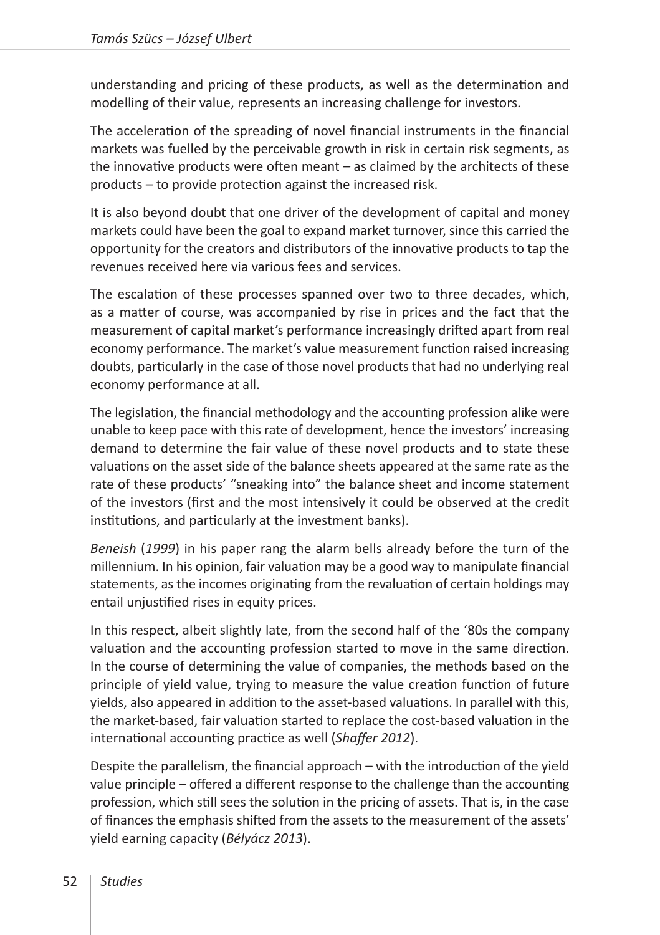understanding and pricing of these products, as well as the determination and modelling of their value, represents an increasing challenge for investors.

The acceleration of the spreading of novel financial instruments in the financial markets was fuelled by the perceivable growth in risk in certain risk segments, as the innovative products were often meant – as claimed by the architects of these products – to provide protection against the increased risk.

It is also beyond doubt that one driver of the development of capital and money markets could have been the goal to expand market turnover, since this carried the opportunity for the creators and distributors of the innovative products to tap the revenues received here via various fees and services.

The escalation of these processes spanned over two to three decades, which, as a matter of course, was accompanied by rise in prices and the fact that the measurement of capital market's performance increasingly drifted apart from real economy performance. The market's value measurement function raised increasing doubts, particularly in the case of those novel products that had no underlying real economy performance at all.

The legislation, the financial methodology and the accounting profession alike were unable to keep pace with this rate of development, hence the investors' increasing demand to determine the fair value of these novel products and to state these valuations on the asset side of the balance sheets appeared at the same rate as the rate of these products' "sneaking into" the balance sheet and income statement of the investors (first and the most intensively it could be observed at the credit institutions, and particularly at the investment banks).

*Beneish* (*1999*) in his paper rang the alarm bells already before the turn of the millennium. In his opinion, fair valuation may be a good way to manipulate financial statements, as the incomes originating from the revaluation of certain holdings may entail unjustified rises in equity prices.

In this respect, albeit slightly late, from the second half of the '80s the company valuation and the accounting profession started to move in the same direction. In the course of determining the value of companies, the methods based on the principle of yield value, trying to measure the value creation function of future yields, also appeared in addition to the asset-based valuations. In parallel with this, the market-based, fair valuation started to replace the cost-based valuation in the international accounting practice as well (*Shaffer 2012*).

Despite the parallelism, the financial approach – with the introduction of the yield value principle – offered a different response to the challenge than the accounting profession, which still sees the solution in the pricing of assets. That is, in the case of finances the emphasis shifted from the assets to the measurement of the assets' yield earning capacity (*Bélyácz 2013*).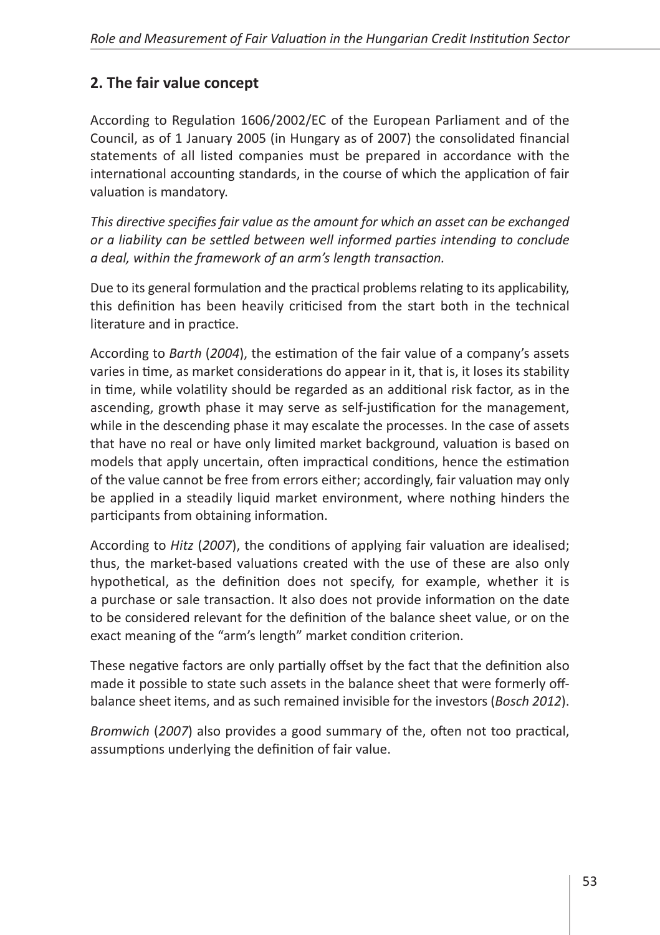# **2. The fair value concept**

According to Regulation 1606/2002/EC of the European Parliament and of the Council, as of 1 January 2005 (in Hungary as of 2007) the consolidated financial statements of all listed companies must be prepared in accordance with the international accounting standards, in the course of which the application of fair valuation is mandatory.

*This directive specifies fair value as the amount for which an asset can be exchanged or a liability can be settled between well informed parties intending to conclude a deal, within the framework of an arm's length transaction.*

Due to its general formulation and the practical problems relating to its applicability, this definition has been heavily criticised from the start both in the technical literature and in practice.

According to *Barth* (*2004*), the estimation of the fair value of a company's assets varies in time, as market considerations do appear in it, that is, it loses its stability in time, while volatility should be regarded as an additional risk factor, as in the ascending, growth phase it may serve as self-justification for the management, while in the descending phase it may escalate the processes. In the case of assets that have no real or have only limited market background, valuation is based on models that apply uncertain, often impractical conditions, hence the estimation of the value cannot be free from errors either; accordingly, fair valuation may only be applied in a steadily liquid market environment, where nothing hinders the participants from obtaining information.

According to *Hitz* (*2007*), the conditions of applying fair valuation are idealised; thus, the market-based valuations created with the use of these are also only hypothetical, as the definition does not specify, for example, whether it is a purchase or sale transaction. It also does not provide information on the date to be considered relevant for the definition of the balance sheet value, or on the exact meaning of the "arm's length" market condition criterion.

These negative factors are only partially offset by the fact that the definition also made it possible to state such assets in the balance sheet that were formerly offbalance sheet items, and as such remained invisible for the investors (*Bosch 2012*).

*Bromwich* (*2007*) also provides a good summary of the, often not too practical, assumptions underlying the definition of fair value.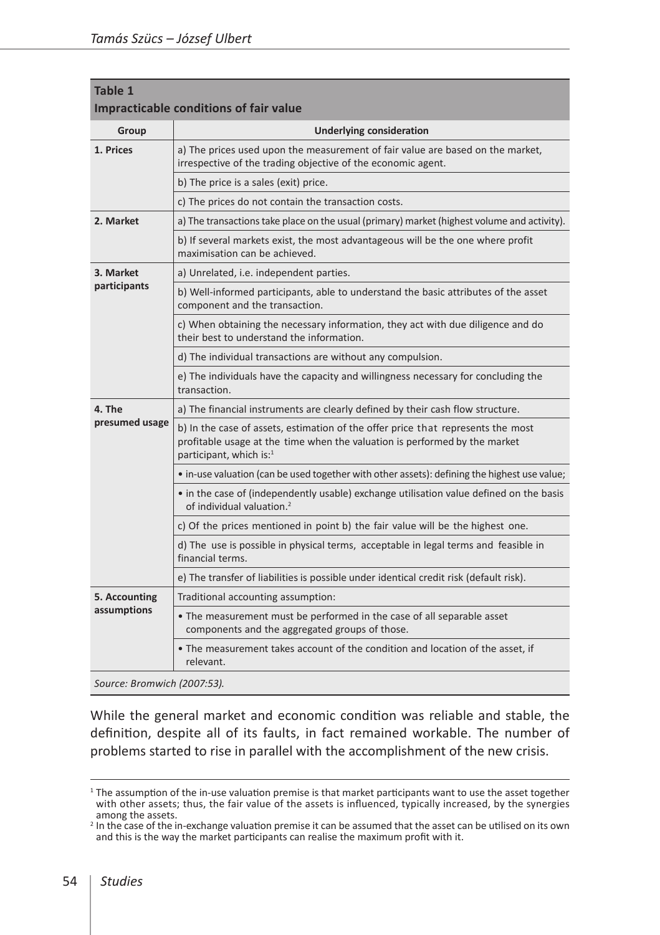| Table 1<br>Impracticable conditions of fair value |                                                                                                                                                                                                       |  |  |  |  |
|---------------------------------------------------|-------------------------------------------------------------------------------------------------------------------------------------------------------------------------------------------------------|--|--|--|--|
| Group                                             | <b>Underlying consideration</b>                                                                                                                                                                       |  |  |  |  |
| 1. Prices                                         | a) The prices used upon the measurement of fair value are based on the market,<br>irrespective of the trading objective of the economic agent.                                                        |  |  |  |  |
|                                                   | b) The price is a sales (exit) price.                                                                                                                                                                 |  |  |  |  |
|                                                   | c) The prices do not contain the transaction costs.                                                                                                                                                   |  |  |  |  |
| 2. Market                                         | a) The transactions take place on the usual (primary) market (highest volume and activity).                                                                                                           |  |  |  |  |
|                                                   | b) If several markets exist, the most advantageous will be the one where profit<br>maximisation can be achieved.                                                                                      |  |  |  |  |
| 3. Market                                         | a) Unrelated, i.e. independent parties.                                                                                                                                                               |  |  |  |  |
| participants                                      | b) Well-informed participants, able to understand the basic attributes of the asset<br>component and the transaction.                                                                                 |  |  |  |  |
|                                                   | c) When obtaining the necessary information, they act with due diligence and do<br>their best to understand the information.                                                                          |  |  |  |  |
|                                                   | d) The individual transactions are without any compulsion.                                                                                                                                            |  |  |  |  |
|                                                   | e) The individuals have the capacity and willingness necessary for concluding the<br>transaction.                                                                                                     |  |  |  |  |
| 4. The                                            | a) The financial instruments are clearly defined by their cash flow structure.                                                                                                                        |  |  |  |  |
| presumed usage                                    | b) In the case of assets, estimation of the offer price that represents the most<br>profitable usage at the time when the valuation is performed by the market<br>participant, which is: <sup>1</sup> |  |  |  |  |
|                                                   | • in-use valuation (can be used together with other assets): defining the highest use value;                                                                                                          |  |  |  |  |
|                                                   | • in the case of (independently usable) exchange utilisation value defined on the basis<br>of individual valuation. <sup>2</sup>                                                                      |  |  |  |  |
|                                                   | c) Of the prices mentioned in point b) the fair value will be the highest one.                                                                                                                        |  |  |  |  |
|                                                   | d) The use is possible in physical terms, acceptable in legal terms and feasible in<br>financial terms.                                                                                               |  |  |  |  |
|                                                   | e) The transfer of liabilities is possible under identical credit risk (default risk).                                                                                                                |  |  |  |  |
| 5. Accounting                                     | Traditional accounting assumption:                                                                                                                                                                    |  |  |  |  |
| assumptions                                       | • The measurement must be performed in the case of all separable asset<br>components and the aggregated groups of those.                                                                              |  |  |  |  |
|                                                   | • The measurement takes account of the condition and location of the asset, if<br>relevant.                                                                                                           |  |  |  |  |
|                                                   |                                                                                                                                                                                                       |  |  |  |  |

*Source: Bromwich (2007:53).*

While the general market and economic condition was reliable and stable, the definition, despite all of its faults, in fact remained workable. The number of problems started to rise in parallel with the accomplishment of the new crisis.

<sup>&</sup>lt;sup>1</sup> The assumption of the in-use valuation premise is that market participants want to use the asset together with other assets; thus, the fair value of the assets is influenced, typically increased, by the synergies among the assets.

<sup>2</sup> In the case of the in-exchange valuation premise it can be assumed that the asset can be utilised on its own and this is the way the market participants can realise the maximum profit with it.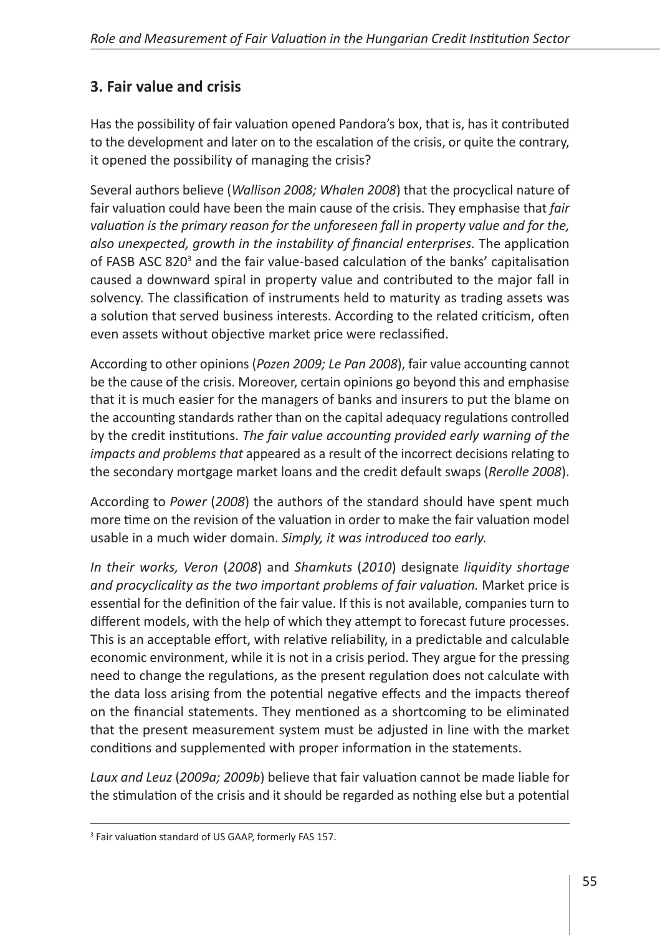# **3. Fair value and crisis**

Has the possibility of fair valuation opened Pandora's box, that is, has it contributed to the development and later on to the escalation of the crisis, or quite the contrary, it opened the possibility of managing the crisis?

Several authors believe (*Wallison 2008; Whalen 2008*) that the procyclical nature of fair valuation could have been the main cause of the crisis. They emphasise that *fair valuation is the primary reason for the unforeseen fall in property value and for the, also unexpected, growth in the instability of financial enterprises.* The application of FASB ASC 820<sup>3</sup> and the fair value-based calculation of the banks' capitalisation caused a downward spiral in property value and contributed to the major fall in solvency. The classification of instruments held to maturity as trading assets was a solution that served business interests. According to the related criticism, often even assets without objective market price were reclassified.

According to other opinions (*Pozen 2009; Le Pan 2008*), fair value accounting cannot be the cause of the crisis. Moreover, certain opinions go beyond this and emphasise that it is much easier for the managers of banks and insurers to put the blame on the accounting standards rather than on the capital adequacy regulations controlled by the credit institutions. *The fair value accounting provided early warning of the impacts and problems that* appeared as a result of the incorrect decisions relating to the secondary mortgage market loans and the credit default swaps (*Rerolle 2008*).

According to *Power* (*2008*) the authors of the standard should have spent much more time on the revision of the valuation in order to make the fair valuation model usable in a much wider domain. *Simply, it was introduced too early.*

*In their works, Veron* (*2008*) and *Shamkuts* (*2010*) designate *liquidity shortage and procyclicality as the two important problems of fair valuation.* Market price is essential for the definition of the fair value. If this is not available, companies turn to different models, with the help of which they attempt to forecast future processes. This is an acceptable effort, with relative reliability, in a predictable and calculable economic environment, while it is not in a crisis period. They argue for the pressing need to change the regulations, as the present regulation does not calculate with the data loss arising from the potential negative effects and the impacts thereof on the financial statements. They mentioned as a shortcoming to be eliminated that the present measurement system must be adjusted in line with the market conditions and supplemented with proper information in the statements.

*Laux and Leuz* (*2009a; 2009b*) believe that fair valuation cannot be made liable for the stimulation of the crisis and it should be regarded as nothing else but a potential

<sup>&</sup>lt;sup>3</sup> Fair valuation standard of US GAAP, formerly FAS 157.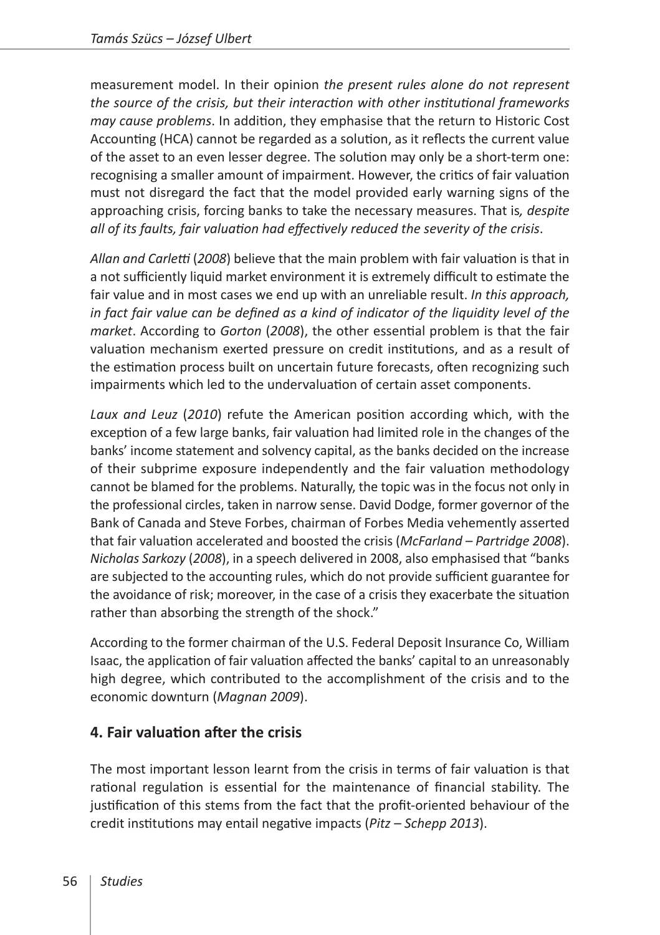measurement model. In their opinion *the present rules alone do not represent the source of the crisis, but their interaction with other institutional frameworks may cause problems*. In addition, they emphasise that the return to Historic Cost Accounting (HCA) cannot be regarded as a solution, as it reflects the current value of the asset to an even lesser degree. The solution may only be a short-term one: recognising a smaller amount of impairment. However, the critics of fair valuation must not disregard the fact that the model provided early warning signs of the approaching crisis, forcing banks to take the necessary measures. That is*, despite all of its faults, fair valuation had effectively reduced the severity of the crisis*.

*Allan and Carletti* (*2008*) believe that the main problem with fair valuation is that in a not sufficiently liquid market environment it is extremely difficult to estimate the fair value and in most cases we end up with an unreliable result. *In this approach, in fact fair value can be defined as a kind of indicator of the liquidity level of the market*. According to *Gorton* (*2008*), the other essential problem is that the fair valuation mechanism exerted pressure on credit institutions, and as a result of the estimation process built on uncertain future forecasts, often recognizing such impairments which led to the undervaluation of certain asset components.

*Laux and Leuz* (*2010*) refute the American position according which, with the exception of a few large banks, fair valuation had limited role in the changes of the banks' income statement and solvency capital, as the banks decided on the increase of their subprime exposure independently and the fair valuation methodology cannot be blamed for the problems. Naturally, the topic was in the focus not only in the professional circles, taken in narrow sense. David Dodge, former governor of the Bank of Canada and Steve Forbes, chairman of Forbes Media vehemently asserted that fair valuation accelerated and boosted the crisis (*McFarland – Partridge 2008*). *Nicholas Sarkozy* (*2008*), in a speech delivered in 2008, also emphasised that "banks are subjected to the accounting rules, which do not provide sufficient guarantee for the avoidance of risk; moreover, in the case of a crisis they exacerbate the situation rather than absorbing the strength of the shock."

According to the former chairman of the U.S. Federal Deposit Insurance Co, William Isaac, the application of fair valuation affected the banks' capital to an unreasonably high degree, which contributed to the accomplishment of the crisis and to the economic downturn (*Magnan 2009*).

# **4. Fair valuation after the crisis**

The most important lesson learnt from the crisis in terms of fair valuation is that rational regulation is essential for the maintenance of financial stability. The justification of this stems from the fact that the profit-oriented behaviour of the credit institutions may entail negative impacts (*Pitz – Schepp 2013*).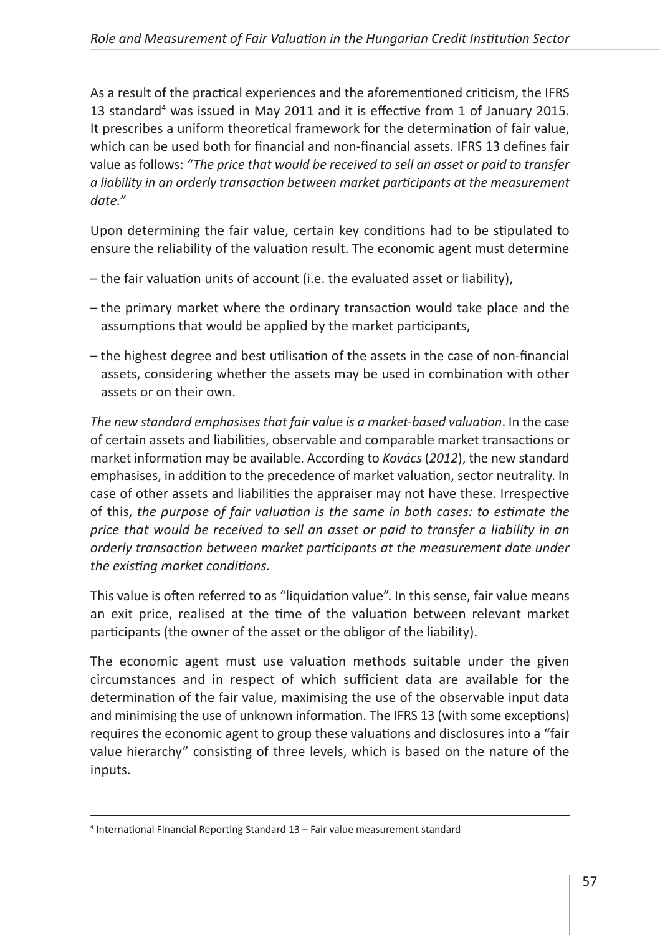As a result of the practical experiences and the aforementioned criticism, the IFRS 13 standard<sup>4</sup> was issued in May 2011 and it is effective from 1 of January 2015. It prescribes a uniform theoretical framework for the determination of fair value, which can be used both for financial and non-financial assets. IFRS 13 defines fair value as follows: *"The price that would be received to sell an asset or paid to transfer a liability in an orderly transaction between market participants at the measurement date."*

Upon determining the fair value, certain key conditions had to be stipulated to ensure the reliability of the valuation result. The economic agent must determine

- the fair valuation units of account (i.e. the evaluated asset or liability),
- the primary market where the ordinary transaction would take place and the assumptions that would be applied by the market participants,
- the highest degree and best utilisation of the assets in the case of non-financial assets, considering whether the assets may be used in combination with other assets or on their own.

*The new standard emphasises that fair value is a market-based valuation*. In the case of certain assets and liabilities, observable and comparable market transactions or market information may be available. According to *Kovács* (*2012*), the new standard emphasises, in addition to the precedence of market valuation, sector neutrality. In case of other assets and liabilities the appraiser may not have these. Irrespective of this, *the purpose of fair valuation is the same in both cases: to estimate the price that would be received to sell an asset or paid to transfer a liability in an orderly transaction between market participants at the measurement date under the existing market conditions.*

This value is often referred to as "liquidation value". In this sense, fair value means an exit price, realised at the time of the valuation between relevant market participants (the owner of the asset or the obligor of the liability).

The economic agent must use valuation methods suitable under the given circumstances and in respect of which sufficient data are available for the determination of the fair value, maximising the use of the observable input data and minimising the use of unknown information. The IFRS 13 (with some exceptions) requires the economic agent to group these valuations and disclosures into a "fair value hierarchy" consisting of three levels, which is based on the nature of the inputs.

<sup>4</sup> International Financial Reporting Standard 13 – Fair value measurement standard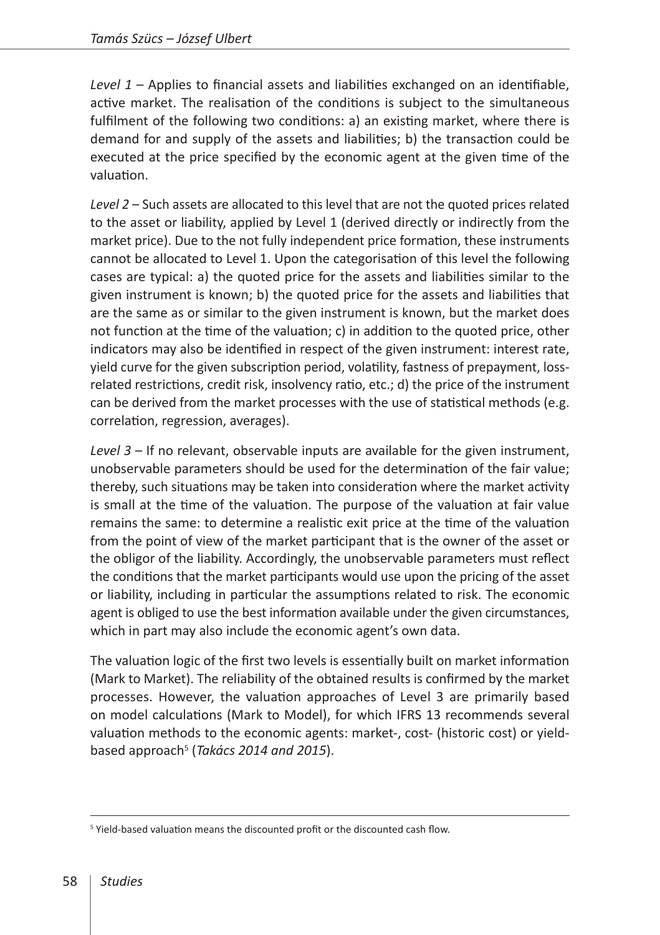*Level 1* – Applies to financial assets and liabilities exchanged on an identifiable, active market. The realisation of the conditions is subject to the simultaneous fulfilment of the following two conditions: a) an existing market, where there is demand for and supply of the assets and liabilities; b) the transaction could be executed at the price specified by the economic agent at the given time of the valuation.

*Level 2* – Such assets are allocated to this level that are not the quoted prices related to the asset or liability, applied by Level 1 (derived directly or indirectly from the market price). Due to the not fully independent price formation, these instruments cannot be allocated to Level 1. Upon the categorisation of this level the following cases are typical: a) the quoted price for the assets and liabilities similar to the given instrument is known; b) the quoted price for the assets and liabilities that are the same as or similar to the given instrument is known, but the market does not function at the time of the valuation; c) in addition to the quoted price, other indicators may also be identified in respect of the given instrument: interest rate, yield curve for the given subscription period, volatility, fastness of prepayment, lossrelated restrictions, credit risk, insolvency ratio, etc.; d) the price of the instrument can be derived from the market processes with the use of statistical methods (e.g. correlation, regression, averages).

*Level 3* – If no relevant, observable inputs are available for the given instrument, unobservable parameters should be used for the determination of the fair value; thereby, such situations may be taken into consideration where the market activity is small at the time of the valuation. The purpose of the valuation at fair value remains the same: to determine a realistic exit price at the time of the valuation from the point of view of the market participant that is the owner of the asset or the obligor of the liability. Accordingly, the unobservable parameters must reflect the conditions that the market participants would use upon the pricing of the asset or liability, including in particular the assumptions related to risk. The economic agent is obliged to use the best information available under the given circumstances, which in part may also include the economic agent's own data.

The valuation logic of the first two levels is essentially built on market information (Mark to Market). The reliability of the obtained results is confirmed by the market processes. However, the valuation approaches of Level 3 are primarily based on model calculations (Mark to Model), for which IFRS 13 recommends several valuation methods to the economic agents: market-, cost- (historic cost) or yieldbased approach<sup>5</sup> (*Takács 2014 and 2015*).

<sup>&</sup>lt;sup>5</sup> Yield-based valuation means the discounted profit or the discounted cash flow.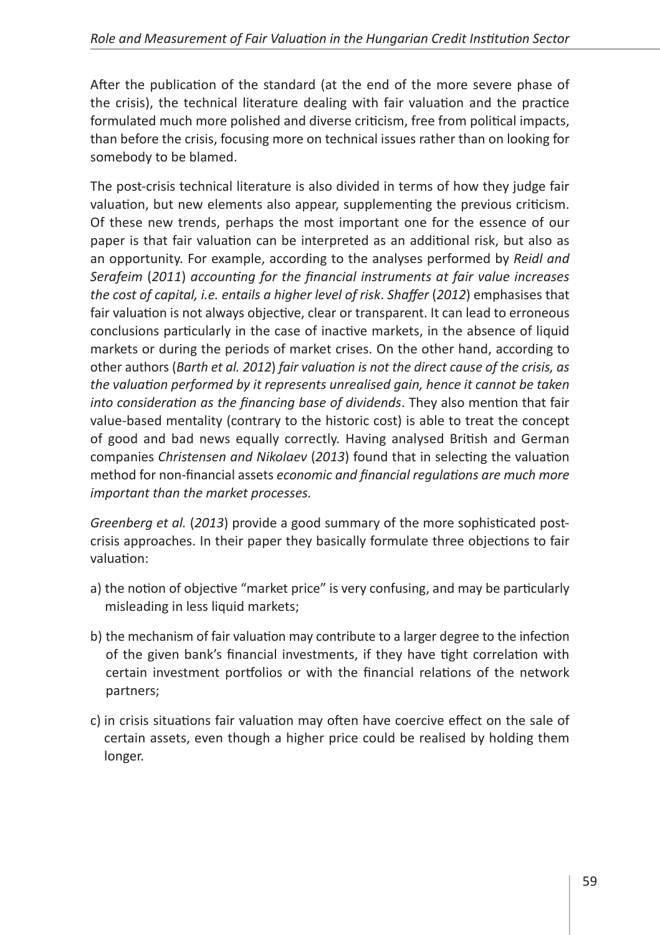After the publication of the standard (at the end of the more severe phase of the crisis), the technical literature dealing with fair valuation and the practice formulated much more polished and diverse criticism, free from political impacts, than before the crisis, focusing more on technical issues rather than on looking for somebody to be blamed.

The post-crisis technical literature is also divided in terms of how they judge fair valuation, but new elements also appear, supplementing the previous criticism. Of these new trends, perhaps the most important one for the essence of our paper is that fair valuation can be interpreted as an additional risk, but also as an opportunity. For example, according to the analyses performed by *Reidl and Serafeim* (*2011*) *accounting for the financial instruments at fair value increases the cost of capital, i.e. entails a higher level of risk*. *Shaffer* (*2012*) emphasises that fair valuation is not always objective, clear or transparent. It can lead to erroneous conclusions particularly in the case of inactive markets, in the absence of liquid markets or during the periods of market crises. On the other hand, according to other authors (*Barth et al. 2012*) *fair valuation is not the direct cause of the crisis, as the valuation performed by it represents unrealised gain, hence it cannot be taken into consideration as the financing base of dividends*. They also mention that fair value-based mentality (contrary to the historic cost) is able to treat the concept of good and bad news equally correctly. Having analysed British and German companies *Christensen and Nikolaev* (*2013*) found that in selecting the valuation method for non-financial assets *economic and financial regulations are much more important than the market processes.* 

*Greenberg et al.* (*2013*) provide a good summary of the more sophisticated postcrisis approaches. In their paper they basically formulate three objections to fair valuation:

- a) the notion of objective "market price" is very confusing, and may be particularly misleading in less liquid markets;
- b) the mechanism of fair valuation may contribute to a larger degree to the infection of the given bank's financial investments, if they have tight correlation with certain investment portfolios or with the financial relations of the network partners;
- c) in crisis situations fair valuation may often have coercive effect on the sale of certain assets, even though a higher price could be realised by holding them longer.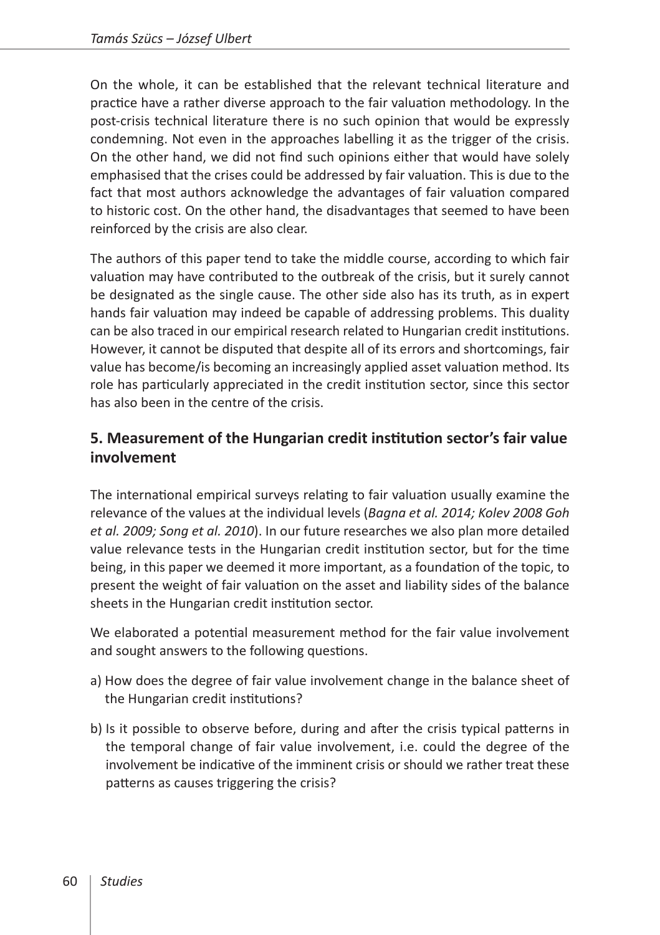On the whole, it can be established that the relevant technical literature and practice have a rather diverse approach to the fair valuation methodology. In the post-crisis technical literature there is no such opinion that would be expressly condemning. Not even in the approaches labelling it as the trigger of the crisis. On the other hand, we did not find such opinions either that would have solely emphasised that the crises could be addressed by fair valuation. This is due to the fact that most authors acknowledge the advantages of fair valuation compared to historic cost. On the other hand, the disadvantages that seemed to have been reinforced by the crisis are also clear.

The authors of this paper tend to take the middle course, according to which fair valuation may have contributed to the outbreak of the crisis, but it surely cannot be designated as the single cause. The other side also has its truth, as in expert hands fair valuation may indeed be capable of addressing problems. This duality can be also traced in our empirical research related to Hungarian credit institutions. However, it cannot be disputed that despite all of its errors and shortcomings, fair value has become/is becoming an increasingly applied asset valuation method. Its role has particularly appreciated in the credit institution sector, since this sector has also been in the centre of the crisis.

# **5. Measurement of the Hungarian credit institution sector's fair value involvement**

The international empirical surveys relating to fair valuation usually examine the relevance of the values at the individual levels (*Bagna et al. 2014; Kolev 2008 Goh et al. 2009; Song et al. 2010*). In our future researches we also plan more detailed value relevance tests in the Hungarian credit institution sector, but for the time being, in this paper we deemed it more important, as a foundation of the topic, to present the weight of fair valuation on the asset and liability sides of the balance sheets in the Hungarian credit institution sector.

We elaborated a potential measurement method for the fair value involvement and sought answers to the following questions.

- a) How does the degree of fair value involvement change in the balance sheet of the Hungarian credit institutions?
- b) Is it possible to observe before, during and after the crisis typical patterns in the temporal change of fair value involvement, i.e. could the degree of the involvement be indicative of the imminent crisis or should we rather treat these patterns as causes triggering the crisis?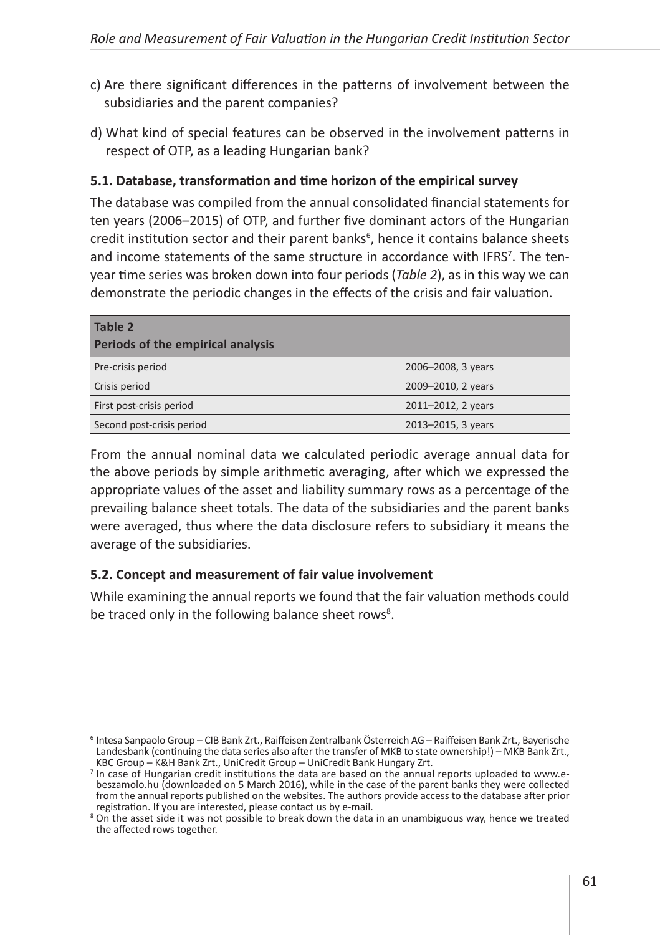- c) Are there significant differences in the patterns of involvement between the subsidiaries and the parent companies?
- d) What kind of special features can be observed in the involvement patterns in respect of OTP, as a leading Hungarian bank?

#### **5.1. Database, transformation and time horizon of the empirical survey**

The database was compiled from the annual consolidated financial statements for ten years (2006–2015) of OTP, and further five dominant actors of the Hungarian credit institution sector and their parent banks<sup>6</sup>, hence it contains balance sheets and income statements of the same structure in accordance with IFRS<sup>7</sup>. The tenyear time series was broken down into four periods (*Table 2*), as in this way we can demonstrate the periodic changes in the effects of the crisis and fair valuation.

| Table 2<br>Periods of the empirical analysis |                    |  |  |  |
|----------------------------------------------|--------------------|--|--|--|
| Pre-crisis period                            | 2006-2008, 3 years |  |  |  |
| Crisis period                                | 2009-2010, 2 years |  |  |  |
| First post-crisis period                     | 2011-2012, 2 years |  |  |  |
| Second post-crisis period                    | 2013-2015, 3 years |  |  |  |

From the annual nominal data we calculated periodic average annual data for the above periods by simple arithmetic averaging, after which we expressed the appropriate values of the asset and liability summary rows as a percentage of the prevailing balance sheet totals. The data of the subsidiaries and the parent banks were averaged, thus where the data disclosure refers to subsidiary it means the average of the subsidiaries.

#### **5.2. Concept and measurement of fair value involvement**

While examining the annual reports we found that the fair valuation methods could be traced only in the following balance sheet rows<sup>8</sup>.

<sup>6</sup> Intesa Sanpaolo Group – CIB Bank Zrt., Raiffeisen Zentralbank Österreich AG – Raiffeisen Bank Zrt., Bayerische Landesbank (continuing the data series also after the transfer of MKB to state ownership!) – MKB Bank Zrt., KBC Group – K&H Bank Zrt., UniCredit Group – UniCredit Bank Hungary Zrt.

<sup>7</sup> In case of Hungarian credit institutions the data are based on the annual reports uploaded to [www.e](http://www.e-beszamolo.hu)[beszamolo.hu](http://www.e-beszamolo.hu) (downloaded on 5 March 2016), while in the case of the parent banks they were collected from the annual reports published on the websites. The authors provide access to the database after prior registration. If you are interested, please contact us by e-mail.

<sup>&</sup>lt;sup>8</sup> On the asset side it was not possible to break down the data in an unambiguous way, hence we treated the affected rows together.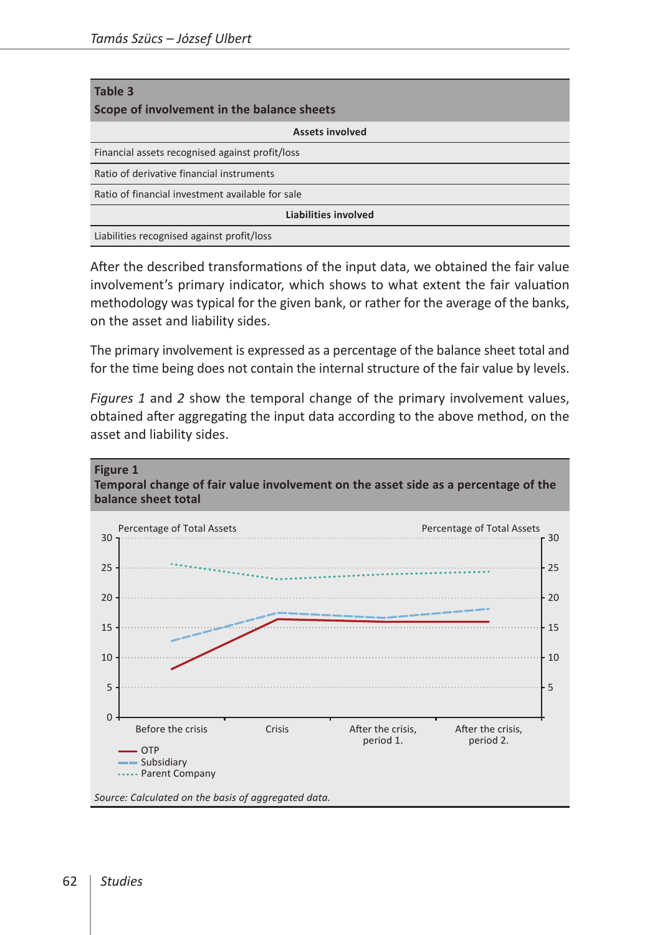| Table 3<br>Scope of involvement in the balance sheets |  |  |  |
|-------------------------------------------------------|--|--|--|
| <b>Assets involved</b>                                |  |  |  |
| Financial assets recognised against profit/loss       |  |  |  |
| Ratio of derivative financial instruments             |  |  |  |
| Ratio of financial investment available for sale      |  |  |  |
| Liabilities involved                                  |  |  |  |
| Liabilities recognised against profit/loss            |  |  |  |

After the described transformations of the input data, we obtained the fair value involvement's primary indicator, which shows to what extent the fair valuation methodology was typical for the given bank, or rather for the average of the banks, on the asset and liability sides.

The primary involvement is expressed as a percentage of the balance sheet total and for the time being does not contain the internal structure of the fair value by levels.

*Figures 1* and *2* show the temporal change of the primary involvement values, obtained after aggregating the input data according to the above method, on the asset and liability sides.

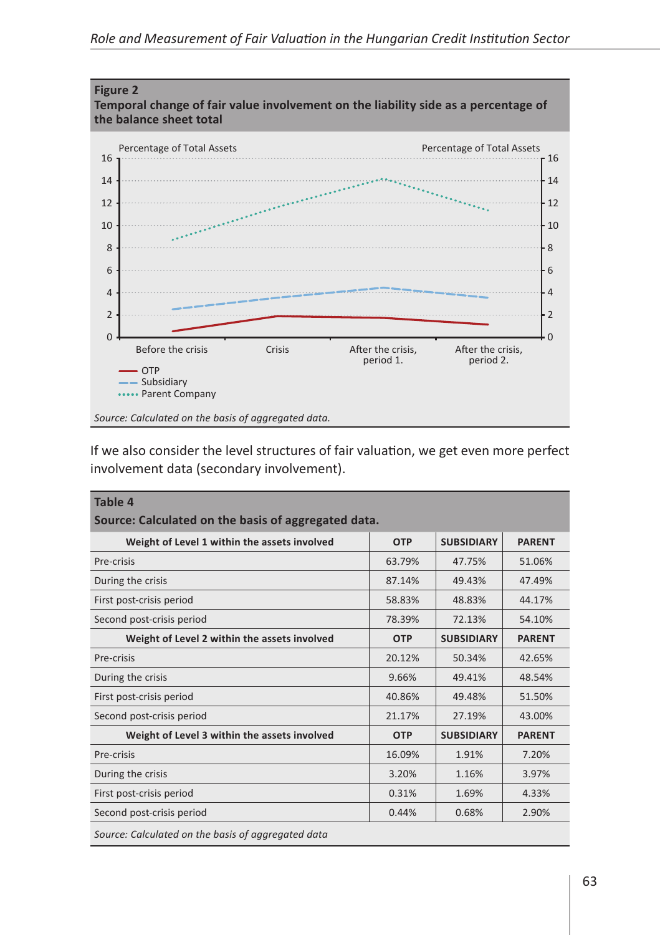

If we also consider the level structures of fair valuation, we get even more perfect involvement data (secondary involvement).

| Table 4<br>Source: Calculated on the basis of aggregated data. |            |                   |               |  |  |  |
|----------------------------------------------------------------|------------|-------------------|---------------|--|--|--|
| Weight of Level 1 within the assets involved                   | <b>OTP</b> | <b>SUBSIDIARY</b> | <b>PARENT</b> |  |  |  |
| Pre-crisis                                                     | 63.79%     | 47.75%            | 51.06%        |  |  |  |
| During the crisis                                              | 87.14%     | 49.43%            | 47.49%        |  |  |  |
| First post-crisis period                                       | 58.83%     | 48.83%            | 44.17%        |  |  |  |
| Second post-crisis period                                      | 78.39%     | 72.13%            | 54.10%        |  |  |  |
| Weight of Level 2 within the assets involved                   | <b>OTP</b> | <b>SUBSIDIARY</b> | <b>PARENT</b> |  |  |  |
| Pre-crisis                                                     | 20.12%     | 50.34%            | 42.65%        |  |  |  |
| During the crisis                                              | 9.66%      | 49.41%            | 48.54%        |  |  |  |
| First post-crisis period                                       | 40.86%     | 49.48%            | 51.50%        |  |  |  |
| Second post-crisis period                                      | 21.17%     | 27.19%            | 43.00%        |  |  |  |
| Weight of Level 3 within the assets involved                   | <b>OTP</b> | <b>SUBSIDIARY</b> | <b>PARENT</b> |  |  |  |
| Pre-crisis                                                     | 16.09%     | 1.91%             | 7.20%         |  |  |  |
| During the crisis                                              | 3.20%      | 1.16%             | 3.97%         |  |  |  |
| First post-crisis period                                       | 0.31%      | 1.69%             | 4.33%         |  |  |  |
| Second post-crisis period                                      | 0.44%      | 0.68%             | 2.90%         |  |  |  |
| Source: Calculated on the basis of aggregated data             |            |                   |               |  |  |  |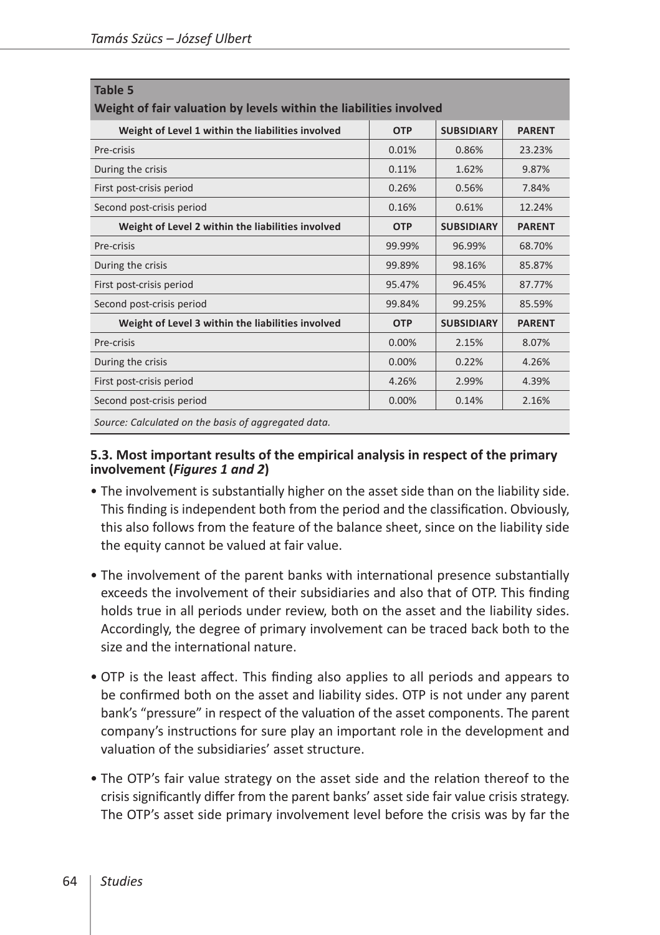| Table 5                                                            |            |                   |               |  |  |  |
|--------------------------------------------------------------------|------------|-------------------|---------------|--|--|--|
| Weight of fair valuation by levels within the liabilities involved |            |                   |               |  |  |  |
| Weight of Level 1 within the liabilities involved                  | <b>OTP</b> | <b>SUBSIDIARY</b> | <b>PARENT</b> |  |  |  |
| Pre-crisis                                                         | 0.01%      | 0.86%             | 23.23%        |  |  |  |
| During the crisis                                                  | 0.11%      | 1.62%             | 9.87%         |  |  |  |
| First post-crisis period                                           | 0.26%      | 0.56%             | 7.84%         |  |  |  |
| Second post-crisis period                                          | 0.16%      | 0.61%             | 12.24%        |  |  |  |
| Weight of Level 2 within the liabilities involved                  | <b>OTP</b> | <b>SUBSIDIARY</b> | <b>PARENT</b> |  |  |  |
| Pre-crisis                                                         | 99.99%     | 96.99%            | 68.70%        |  |  |  |
| During the crisis                                                  | 99.89%     | 98.16%            | 85.87%        |  |  |  |
| First post-crisis period                                           | 95.47%     | 96.45%            | 87.77%        |  |  |  |
| Second post-crisis period                                          | 99.84%     | 99.25%            | 85.59%        |  |  |  |
| Weight of Level 3 within the liabilities involved                  | <b>OTP</b> | <b>SUBSIDIARY</b> | <b>PARENT</b> |  |  |  |
| Pre-crisis                                                         | 0.00%      | 2.15%             | 8.07%         |  |  |  |
| During the crisis                                                  | 0.00%      | 0.22%             | 4.26%         |  |  |  |
| First post-crisis period                                           | 4.26%      | 2.99%             | 4.39%         |  |  |  |
| Second post-crisis period                                          | 0.00%      | 0.14%             | 2.16%         |  |  |  |
| Source: Calculated on the basis of aggregated data.                |            |                   |               |  |  |  |

#### **5.3. Most important results of the empirical analysis in respect of the primary involvement (***Figures 1 and 2***)**

- The involvement is substantially higher on the asset side than on the liability side. This finding is independent both from the period and the classification. Obviously, this also follows from the feature of the balance sheet, since on the liability side the equity cannot be valued at fair value.
- The involvement of the parent banks with international presence substantially exceeds the involvement of their subsidiaries and also that of OTP. This finding holds true in all periods under review, both on the asset and the liability sides. Accordingly, the degree of primary involvement can be traced back both to the size and the international nature.
- OTP is the least affect. This finding also applies to all periods and appears to be confirmed both on the asset and liability sides. OTP is not under any parent bank's "pressure" in respect of the valuation of the asset components. The parent company's instructions for sure play an important role in the development and valuation of the subsidiaries' asset structure.
- The OTP's fair value strategy on the asset side and the relation thereof to the crisis significantly differ from the parent banks' asset side fair value crisis strategy. The OTP's asset side primary involvement level before the crisis was by far the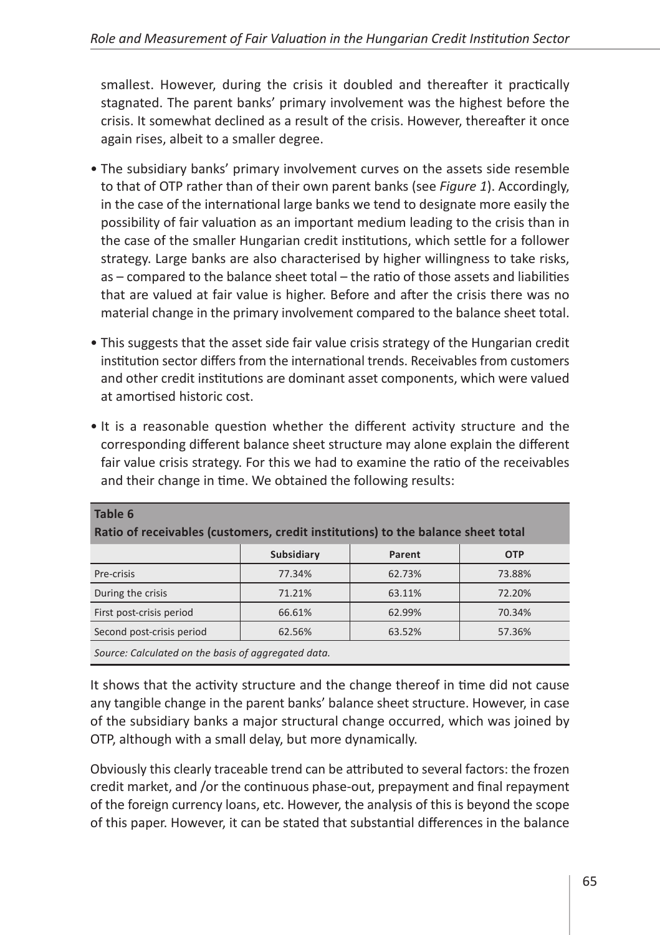smallest. However, during the crisis it doubled and thereafter it practically stagnated. The parent banks' primary involvement was the highest before the crisis. It somewhat declined as a result of the crisis. However, thereafter it once again rises, albeit to a smaller degree.

- The subsidiary banks' primary involvement curves on the assets side resemble to that of OTP rather than of their own parent banks (see *Figure 1*). Accordingly, in the case of the international large banks we tend to designate more easily the possibility of fair valuation as an important medium leading to the crisis than in the case of the smaller Hungarian credit institutions, which settle for a follower strategy. Large banks are also characterised by higher willingness to take risks, as – compared to the balance sheet total – the ratio of those assets and liabilities that are valued at fair value is higher. Before and after the crisis there was no material change in the primary involvement compared to the balance sheet total.
- This suggests that the asset side fair value crisis strategy of the Hungarian credit institution sector differs from the international trends. Receivables from customers and other credit institutions are dominant asset components, which were valued at amortised historic cost.

| • It is a reasonable question whether the different activity structure and the      |
|-------------------------------------------------------------------------------------|
| corresponding different balance sheet structure may alone explain the different     |
| fair value crisis strategy. For this we had to examine the ratio of the receivables |
| and their change in time. We obtained the following results:                        |

| Table 6<br>Ratio of receivables (customers, credit institutions) to the balance sheet total |            |        |            |  |  |
|---------------------------------------------------------------------------------------------|------------|--------|------------|--|--|
|                                                                                             | Subsidiary | Parent | <b>OTP</b> |  |  |
| Pre-crisis                                                                                  | 77.34%     | 62.73% | 73.88%     |  |  |
| During the crisis                                                                           | 71.21%     | 63.11% | 72.20%     |  |  |
| First post-crisis period                                                                    | 66.61%     | 62.99% | 70.34%     |  |  |
| Second post-crisis period                                                                   | 62.56%     | 63.52% | 57.36%     |  |  |
| Source: Calculated on the basis of aggregated data.                                         |            |        |            |  |  |

It shows that the activity structure and the change thereof in time did not cause any tangible change in the parent banks' balance sheet structure. However, in case of the subsidiary banks a major structural change occurred, which was joined by OTP, although with a small delay, but more dynamically.

Obviously this clearly traceable trend can be attributed to several factors: the frozen credit market, and /or the continuous phase-out, prepayment and final repayment of the foreign currency loans, etc. However, the analysis of this is beyond the scope of this paper. However, it can be stated that substantial differences in the balance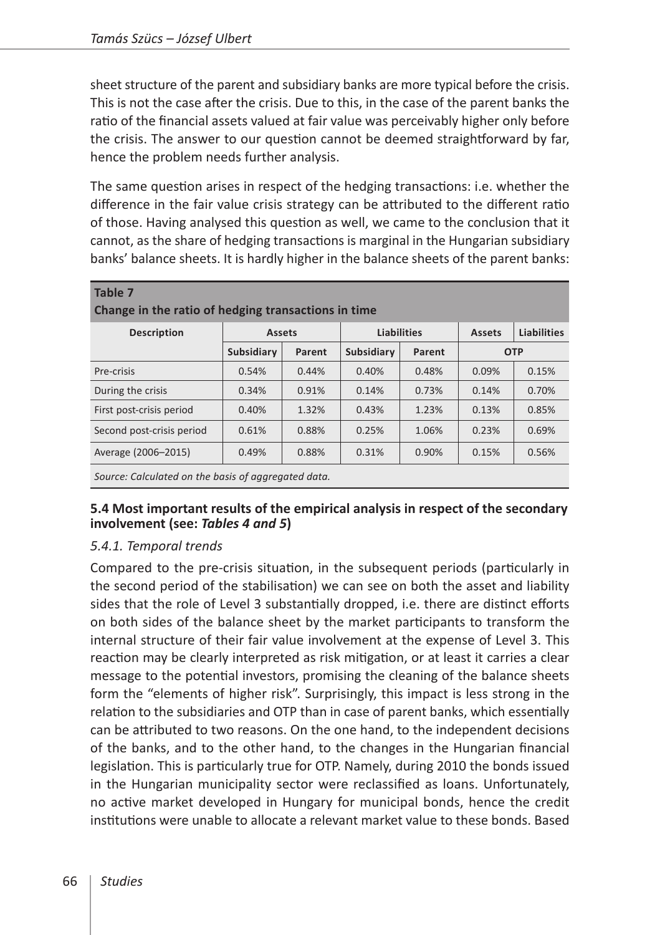sheet structure of the parent and subsidiary banks are more typical before the crisis. This is not the case after the crisis. Due to this, in the case of the parent banks the ratio of the financial assets valued at fair value was perceivably higher only before the crisis. The answer to our question cannot be deemed straightforward by far, hence the problem needs further analysis.

The same question arises in respect of the hedging transactions: i.e. whether the difference in the fair value crisis strategy can be attributed to the different ratio of those. Having analysed this question as well, we came to the conclusion that it cannot, as the share of hedging transactions is marginal in the Hungarian subsidiary banks' balance sheets. It is hardly higher in the balance sheets of the parent banks:

| Table 7                                             |               |        |                    |        |               |                    |
|-----------------------------------------------------|---------------|--------|--------------------|--------|---------------|--------------------|
| Change in the ratio of hedging transactions in time |               |        |                    |        |               |                    |
| <b>Description</b>                                  | <b>Assets</b> |        | <b>Liabilities</b> |        | <b>Assets</b> | <b>Liabilities</b> |
|                                                     | Subsidiary    | Parent | Subsidiary         | Parent |               | <b>OTP</b>         |
| Pre-crisis                                          | 0.54%         | 0.44%  | 0.40%              | 0.48%  | 0.09%         | 0.15%              |
| During the crisis                                   | 0.34%         | 0.91%  | 0.14%              | 0.73%  | 0.14%         | 0.70%              |
| First post-crisis period                            | 0.40%         | 1.32%  | 0.43%              | 1.23%  | 0.13%         | 0.85%              |
| Second post-crisis period                           | 0.61%         | 0.88%  | 0.25%              | 1.06%  | 0.23%         | 0.69%              |
| Average (2006-2015)                                 | 0.49%         | 0.88%  | 0.31%              | 0.90%  | 0.15%         | 0.56%              |
| Source: Calculated on the basis of aggregated data. |               |        |                    |        |               |                    |

#### **5.4 Most important results of the empirical analysis in respect of the secondary involvement (see:** *Tables 4 and 5***)**

#### *5.4.1. Temporal trends*

Compared to the pre-crisis situation, in the subsequent periods (particularly in the second period of the stabilisation) we can see on both the asset and liability sides that the role of Level 3 substantially dropped, i.e. there are distinct efforts on both sides of the balance sheet by the market participants to transform the internal structure of their fair value involvement at the expense of Level 3. This reaction may be clearly interpreted as risk mitigation, or at least it carries a clear message to the potential investors, promising the cleaning of the balance sheets form the "elements of higher risk". Surprisingly, this impact is less strong in the relation to the subsidiaries and OTP than in case of parent banks, which essentially can be attributed to two reasons. On the one hand, to the independent decisions of the banks, and to the other hand, to the changes in the Hungarian financial legislation. This is particularly true for OTP. Namely, during 2010 the bonds issued in the Hungarian municipality sector were reclassified as loans. Unfortunately, no active market developed in Hungary for municipal bonds, hence the credit institutions were unable to allocate a relevant market value to these bonds. Based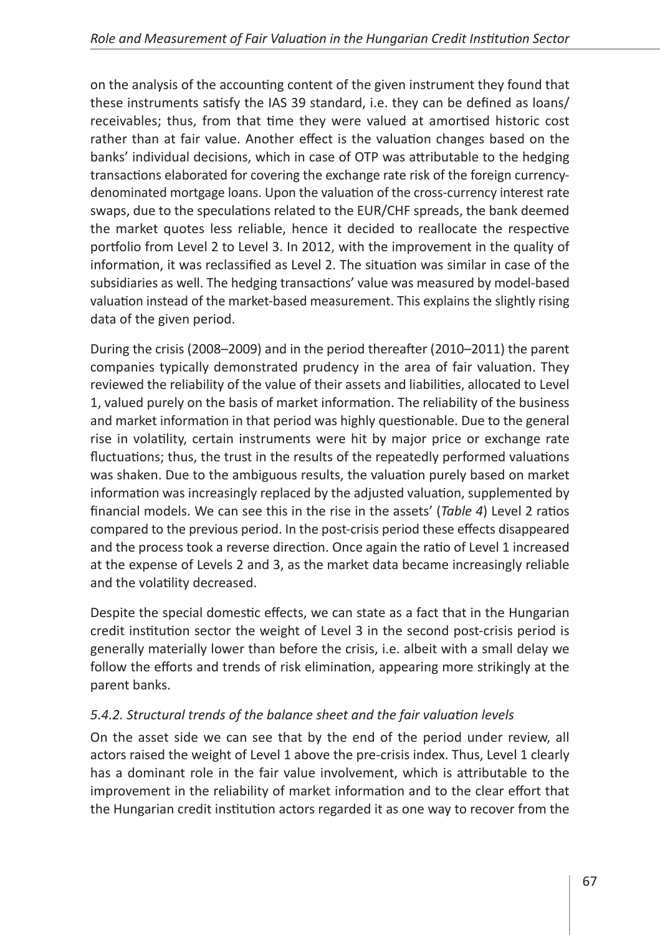on the analysis of the accounting content of the given instrument they found that these instruments satisfy the IAS 39 standard, i.e. they can be defined as loans/ receivables; thus, from that time they were valued at amortised historic cost rather than at fair value. Another effect is the valuation changes based on the banks' individual decisions, which in case of OTP was attributable to the hedging transactions elaborated for covering the exchange rate risk of the foreign currencydenominated mortgage loans. Upon the valuation of the cross-currency interest rate swaps, due to the speculations related to the EUR/CHF spreads, the bank deemed the market quotes less reliable, hence it decided to reallocate the respective portfolio from Level 2 to Level 3. In 2012, with the improvement in the quality of information, it was reclassified as Level 2. The situation was similar in case of the subsidiaries as well. The hedging transactions' value was measured by model-based valuation instead of the market-based measurement. This explains the slightly rising data of the given period.

During the crisis (2008–2009) and in the period thereafter (2010–2011) the parent companies typically demonstrated prudency in the area of fair valuation. They reviewed the reliability of the value of their assets and liabilities, allocated to Level 1, valued purely on the basis of market information. The reliability of the business and market information in that period was highly questionable. Due to the general rise in volatility, certain instruments were hit by major price or exchange rate fluctuations; thus, the trust in the results of the repeatedly performed valuations was shaken. Due to the ambiguous results, the valuation purely based on market information was increasingly replaced by the adjusted valuation, supplemented by financial models. We can see this in the rise in the assets' (*Table 4*) Level 2 ratios compared to the previous period. In the post-crisis period these effects disappeared and the process took a reverse direction. Once again the ratio of Level 1 increased at the expense of Levels 2 and 3, as the market data became increasingly reliable and the volatility decreased.

Despite the special domestic effects, we can state as a fact that in the Hungarian credit institution sector the weight of Level 3 in the second post-crisis period is generally materially lower than before the crisis, i.e. albeit with a small delay we follow the efforts and trends of risk elimination, appearing more strikingly at the parent banks.

# *5.4.2. Structural trends of the balance sheet and the fair valuation levels*

On the asset side we can see that by the end of the period under review, all actors raised the weight of Level 1 above the pre-crisis index. Thus, Level 1 clearly has a dominant role in the fair value involvement, which is attributable to the improvement in the reliability of market information and to the clear effort that the Hungarian credit institution actors regarded it as one way to recover from the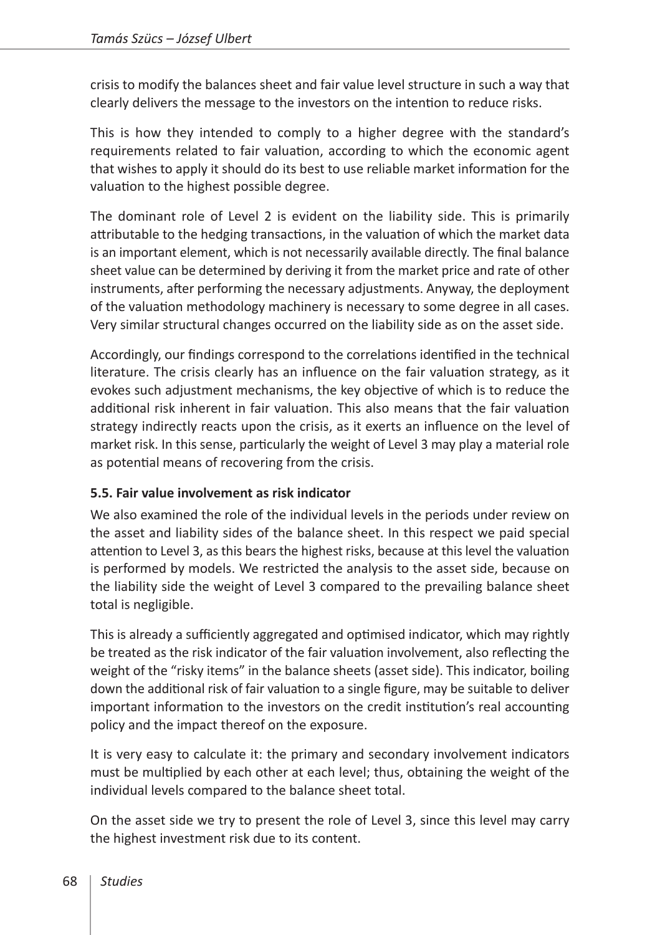crisis to modify the balances sheet and fair value level structure in such a way that clearly delivers the message to the investors on the intention to reduce risks.

This is how they intended to comply to a higher degree with the standard's requirements related to fair valuation, according to which the economic agent that wishes to apply it should do its best to use reliable market information for the valuation to the highest possible degree.

The dominant role of Level 2 is evident on the liability side. This is primarily attributable to the hedging transactions, in the valuation of which the market data is an important element, which is not necessarily available directly. The final balance sheet value can be determined by deriving it from the market price and rate of other instruments, after performing the necessary adjustments. Anyway, the deployment of the valuation methodology machinery is necessary to some degree in all cases. Very similar structural changes occurred on the liability side as on the asset side.

Accordingly, our findings correspond to the correlations identified in the technical literature. The crisis clearly has an influence on the fair valuation strategy, as it evokes such adjustment mechanisms, the key objective of which is to reduce the additional risk inherent in fair valuation. This also means that the fair valuation strategy indirectly reacts upon the crisis, as it exerts an influence on the level of market risk. In this sense, particularly the weight of Level 3 may play a material role as potential means of recovering from the crisis.

#### **5.5. Fair value involvement as risk indicator**

We also examined the role of the individual levels in the periods under review on the asset and liability sides of the balance sheet. In this respect we paid special attention to Level 3, as this bears the highest risks, because at this level the valuation is performed by models. We restricted the analysis to the asset side, because on the liability side the weight of Level 3 compared to the prevailing balance sheet total is negligible.

This is already a sufficiently aggregated and optimised indicator, which may rightly be treated as the risk indicator of the fair valuation involvement, also reflecting the weight of the "risky items" in the balance sheets (asset side). This indicator, boiling down the additional risk of fair valuation to a single figure, may be suitable to deliver important information to the investors on the credit institution's real accounting policy and the impact thereof on the exposure.

It is very easy to calculate it: the primary and secondary involvement indicators must be multiplied by each other at each level; thus, obtaining the weight of the individual levels compared to the balance sheet total.

On the asset side we try to present the role of Level 3, since this level may carry the highest investment risk due to its content.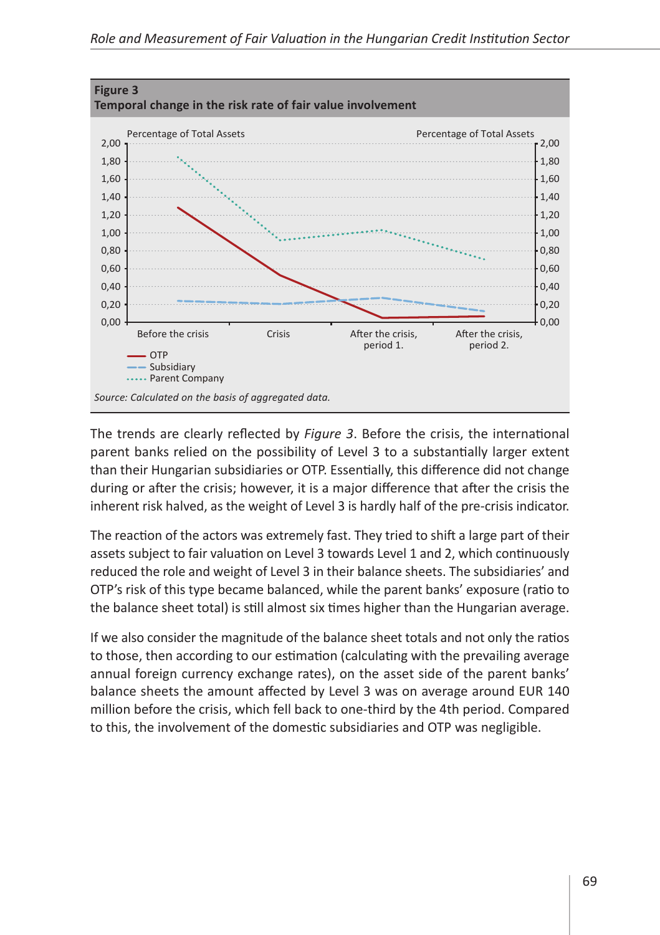

The trends are clearly reflected by *Figure 3*. Before the crisis, the international parent banks relied on the possibility of Level 3 to a substantially larger extent than their Hungarian subsidiaries or OTP. Essentially, this difference did not change during or after the crisis; however, it is a major difference that after the crisis the inherent risk halved, as the weight of Level 3 is hardly half of the pre-crisis indicator.

The reaction of the actors was extremely fast. They tried to shift a large part of their assets subject to fair valuation on Level 3 towards Level 1 and 2, which continuously reduced the role and weight of Level 3 in their balance sheets. The subsidiaries' and OTP's risk of this type became balanced, while the parent banks' exposure (ratio to the balance sheet total) is still almost six times higher than the Hungarian average.

If we also consider the magnitude of the balance sheet totals and not only the ratios to those, then according to our estimation (calculating with the prevailing average annual foreign currency exchange rates), on the asset side of the parent banks' balance sheets the amount affected by Level 3 was on average around EUR 140 million before the crisis, which fell back to one-third by the 4th period. Compared to this, the involvement of the domestic subsidiaries and OTP was negligible.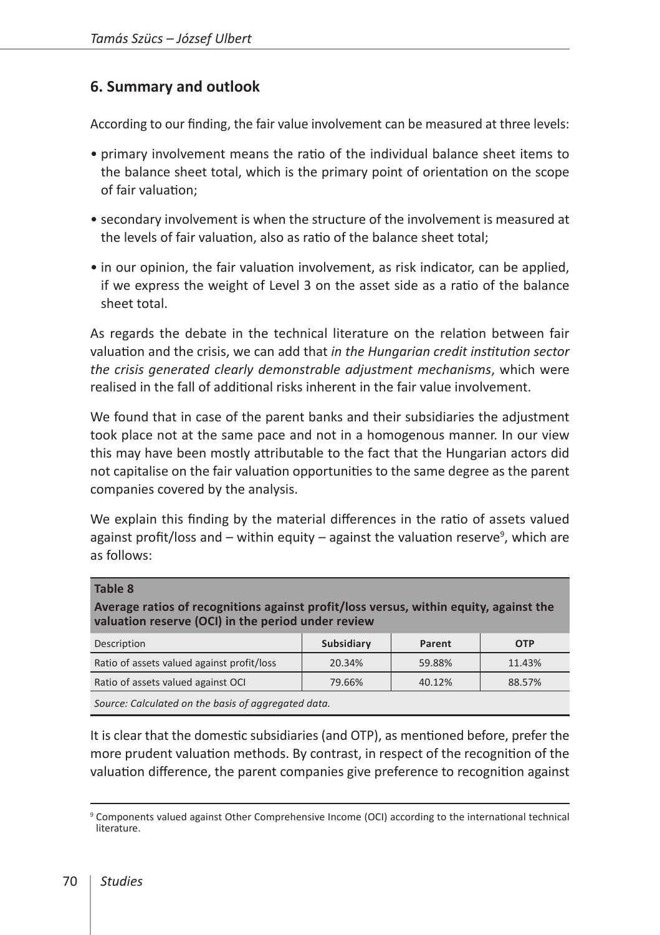# **6. Summary and outlook**

According to our finding, the fair value involvement can be measured at three levels:

- primary involvement means the ratio of the individual balance sheet items to the balance sheet total, which is the primary point of orientation on the scope of fair valuation;
- secondary involvement is when the structure of the involvement is measured at the levels of fair valuation, also as ratio of the balance sheet total;
- in our opinion, the fair valuation involvement, as risk indicator, can be applied, if we express the weight of Level 3 on the asset side as a ratio of the balance sheet total.

As regards the debate in the technical literature on the relation between fair valuation and the crisis, we can add that *in the Hungarian credit institution sector the crisis generated clearly demonstrable adjustment mechanisms*, which were realised in the fall of additional risks inherent in the fair value involvement.

We found that in case of the parent banks and their subsidiaries the adjustment took place not at the same pace and not in a homogenous manner. In our view this may have been mostly attributable to the fact that the Hungarian actors did not capitalise on the fair valuation opportunities to the same degree as the parent companies covered by the analysis.

We explain this finding by the material differences in the ratio of assets valued against profit/loss and – within equity – against the valuation reserve<sup>9</sup>, which are as follows:

| Average ratios of recognitions against profit/loss versus, within equity, against the<br>valuation reserve (OCI) in the period under review |            |        |            |  |  |  |
|---------------------------------------------------------------------------------------------------------------------------------------------|------------|--------|------------|--|--|--|
| Description                                                                                                                                 | Subsidiary | Parent | <b>OTP</b> |  |  |  |
| Ratio of assets valued against profit/loss                                                                                                  | 20.34%     | 59.88% | 11.43%     |  |  |  |
| Ratio of assets valued against OCI                                                                                                          | 79.66%     | 40.12% | 88.57%     |  |  |  |
| Carrier Calculated an the book of concerning detail                                                                                         |            |        |            |  |  |  |

*Source: Calculated on the basis of aggregated data.*

It is clear that the domestic subsidiaries (and OTP), as mentioned before, prefer the more prudent valuation methods. By contrast, in respect of the recognition of the valuation difference, the parent companies give preference to recognition against

**Table 8**

<sup>9</sup> Components valued against Other Comprehensive Income (OCI) according to the international technical literature.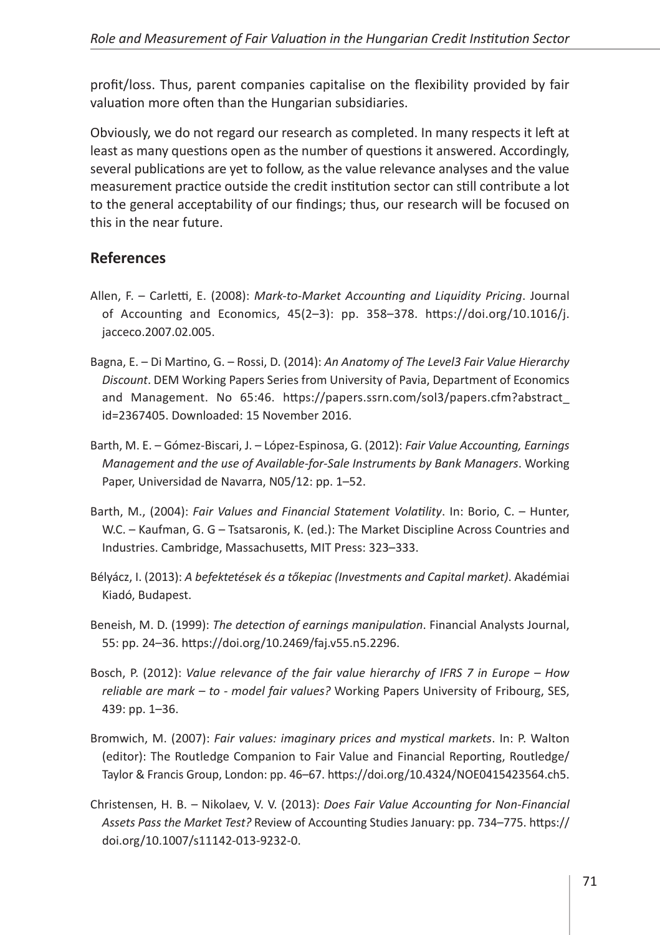profit/loss. Thus, parent companies capitalise on the flexibility provided by fair valuation more often than the Hungarian subsidiaries.

Obviously, we do not regard our research as completed. In many respects it left at least as many questions open as the number of questions it answered. Accordingly, several publications are yet to follow, as the value relevance analyses and the value measurement practice outside the credit institution sector can still contribute a lot to the general acceptability of our findings; thus, our research will be focused on this in the near future.

# **References**

- Allen, F. Carletti, E. (2008): *Mark-to-Market Accounting and Liquidity Pricing*. Journal of Accounting and Economics, 45(2–3): pp. 358–378. [https://doi.org/10.1016/j.](https://doi.org/10.1016/j.jacceco.2007.02.005) [jacceco.2007.02.005.](https://doi.org/10.1016/j.jacceco.2007.02.005)
- Bagna, E. Di Martino, G. Rossi, D. (2014): *An Anatomy of The Level3 Fair Value Hierarchy Discount*. DEM Working Papers Series from University of Pavia, Department of Economics and Management. No 65:46. [https://papers.ssrn.com/sol3/papers.cfm?abstract\\_](https://papers.ssrn.com/sol3/papers.cfm?abstract_id=2367405) [id=2367405](https://papers.ssrn.com/sol3/papers.cfm?abstract_id=2367405). Downloaded: 15 November 2016.
- Barth, M. E. Gómez-Biscari, J. López-Espinosa, G. (2012): *Fair Value Accounting, Earnings Management and the use of Available-for-Sale Instruments by Bank Managers*. Working Paper, Universidad de Navarra, N05/12: pp. 1–52.
- Barth, M., (2004): *Fair Values and Financial Statement Volatility*. In: Borio, C. Hunter, W.C. – Kaufman, G. G – Tsatsaronis, K. (ed.): The Market Discipline Across Countries and Industries. Cambridge, Massachusetts, MIT Press: 323–333.
- Bélyácz, I. (2013): *A befektetések és a tőkepiac (Investments and Capital market)*. Akadémiai Kiadó, Budapest.
- Beneish, M. D. (1999): *The detection of earnings manipulation*. Financial Analysts Journal, 55: pp. 24–36.<https://doi.org/10.2469/faj.v55.n5.2296>.
- Bosch, P. (2012): *Value relevance of the fair value hierarchy of IFRS 7 in Europe How reliable are mark – to - model fair values?* Working Papers University of Fribourg, SES, 439: pp. 1–36.
- Bromwich, M. (2007): *Fair values: imaginary prices and mystical markets*. In: P. Walton (editor): The Routledge Companion to Fair Value and Financial Reporting, Routledge/ Taylor & Francis Group, London: pp. 46–67. [https://doi.org/10.4324/NOE0415423564.ch5.](https://doi.org/10.4324/NOE0415423564.ch5)
- Christensen, H. B. Nikolaev, V. V. (2013): *Does Fair Value Accounting for Non-Financial Assets Pass the Market Test?* Review of Accounting Studies January: pp. 734–775. [https://](https://doi.org/10.1007/s11142-013-9232-0) [doi.org/10.1007/s11142-013-9232-0.](https://doi.org/10.1007/s11142-013-9232-0)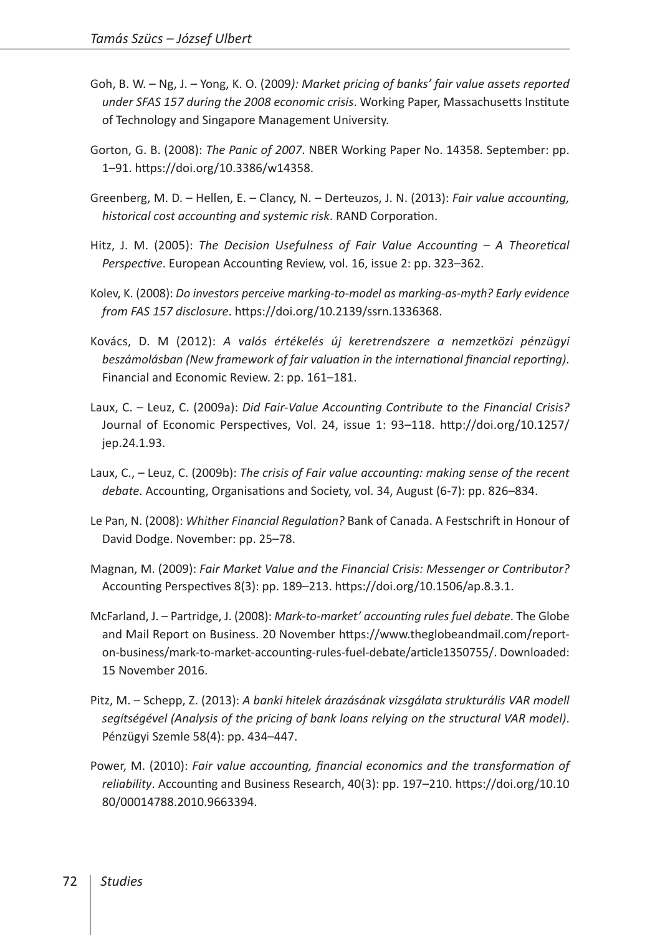- Goh, B. W. Ng, J. Yong, K. O. (2009*): Market pricing of banks' fair value assets reported under SFAS 157 during the 2008 economic crisis*. Working Paper, Massachusetts Institute of Technology and Singapore Management University.
- Gorton, G. B. (2008): *The Panic of 2007*. NBER Working Paper No. 14358. September: pp. 1–91. [https://doi.org/10.3386/w14358.](https://doi.org/10.3386/w14358)
- Greenberg, M. D. Hellen, E. Clancy, N. Derteuzos, J. N. (2013): *Fair value accounting, historical cost accounting and systemic risk*. RAND Corporation.
- Hitz, J. M. (2005): *The Decision Usefulness of Fair Value Accounting A Theoretical Perspective*. European Accounting Review, vol. 16, issue 2: pp. 323–362.
- Kolev, K. (2008): *Do investors perceive marking-to-model as marking-as-myth? Early evidence from FAS 157 disclosure*. [https://doi.org/10.2139/ssrn.1336368.](https://doi.org/10.2139/ssrn.1336368)
- Kovács, D. M (2012): *A valós értékelés új keretrendszere a nemzetközi pénzügyi beszámolásban (New framework of fair valuation in the international financial reporting)*. Financial and Economic Review. 2: pp. 161–181.
- Laux, C. Leuz, C. (2009a): *Did Fair-Value Accounting Contribute to the Financial Crisis?* Journal of Economic Perspectives, Vol. 24, issue 1: 93–118. [http://doi.org/10.1257/](http://doi.org/10.1257/jep.24.1.93) [jep.24.1.93.](http://doi.org/10.1257/jep.24.1.93)
- Laux, C., Leuz, C. (2009b): *The crisis of Fair value accounting: making sense of the recent debate*. Accounting, Organisations and Society, vol. 34, August (6-7): pp. 826–834.
- Le Pan, N. (2008): *Whither Financial Regulation?* Bank of Canada. A Festschrift in Honour of David Dodge. November: pp. 25–78.
- Magnan, M. (2009): *Fair Market Value and the Financial Crisis: Messenger or Contributor?* Accounting Perspectives 8(3): pp. 189–213. [https://doi.org/10.1506/ap.8.3.1.](https://doi.org/10.1506/ap.8.3.1)
- McFarland, J. Partridge, J. (2008): *Mark-to-market' accounting rules fuel debate*. The Globe and Mail Report on Business. 20 November [https://www.theglobeandmail.com/report](https://www.theglobeandmail.com/report-on-business/mark-to-market-accounting-rules-fuel-debate/article1350755/)[on-business/mark-to-market-accounting-rules-fuel-debate/article1350755/](https://www.theglobeandmail.com/report-on-business/mark-to-market-accounting-rules-fuel-debate/article1350755/). Downloaded: 15 November 2016.
- Pitz, M. Schepp, Z. (2013): *A banki hitelek árazásának vizsgálata strukturális VAR modell segítségével (Analysis of the pricing of bank loans relying on the structural VAR model)*. Pénzügyi Szemle 58(4): pp. 434–447.
- Power, M. (2010): *Fair value accounting, financial economics and the transformation of reliability*. Accounting and Business Research, 40(3): pp. 197–210. [https://doi.org/10.10](https://doi.org/10.1080/00014788.2010.9663394) [80/00014788.2010.9663394](https://doi.org/10.1080/00014788.2010.9663394).